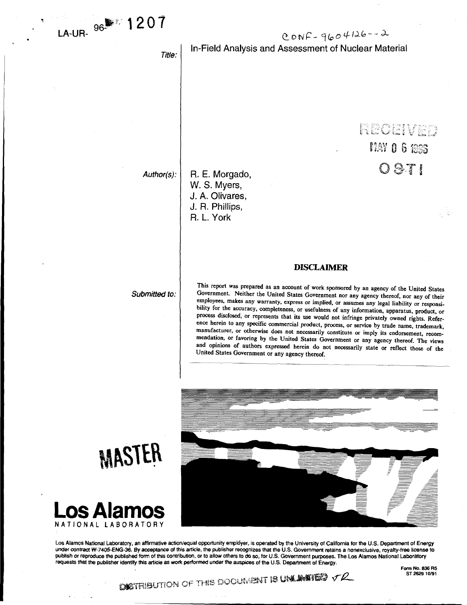$CONF - 9604126 - 2$ 

**index veo** 

 $MAYO6$  1988

 $0871$ 

*Title:* 

# In-Field Analysis and Assessment of Nuclear Material

*Author(s):* 

R. E. Morgado, W. S. Myers, J. A. Olivares, J. R. Phillips, R. L. York

## *Submitted to:*

This report was prepared as an account of work sponsored by an agency of the United States Government. Neither the United States Government nor any agency thereof, nor any of their employees, makes any warranty, express or implied, or assumes any legal liability or responsibility for the accuracy, completeness, or usefulness of any information, apparatus, product, or process disclosed, or represents that its use would not infringe privately owned rights. Reference herein to any specific commercial product, process, or service by trade name, trademark, manufacturer, or otherwise does not necessarily constitute or imply its endorsement, recommendation, or favoring by the United States Government or any agency thereof. The views and opinions of authors expressed herein do not necessarily state or reflect those of the United States Government or any agency thereof.

**DISCLAIMER** 



**Los Alamos National Laboratory, an affirmative action/equal opportunity empldyer, is operated by the University of California for the U.S. Department of Energy**  under contract W-7405-ENG-36. By acceptance of this article, the publisher recognizes that the U.S. Government retains a nonexclusive, royalty-free license to **publish or reproduce the published form of this contribution, or to allow others to do so, for U.S. Government purposes. The Los Alamos National Laboratory requests that the publisher identify this article as work performed under the auspices of the U.S. Department of Energy.** 





**Form No. 836 R5**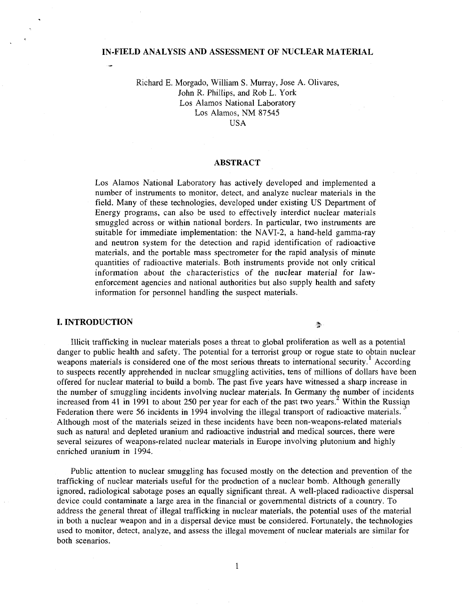# **IN-FIELD ANALYSIS AND ASSESSMENT OF NUCLEAR MATERIAL**

# Richard E. Morgado, William S. Murray, Jose A. Olivares, John R. Phillips, and Rob L. York Los Alamos National Laboratory Los Alamos, NM 87545

USA

# **ABSTRACT**

Los Alamos National Laboratory has actively developed and implemented a number of instruments to monitor, detect, and analyze nuclear materials in the field. Many of these technologies, developed under existing US Department of Energy programs, can also be used to effectively interdict nuclear materials smuggled across or within national borders. In particular, two instruments are suitable for immediate implementation: the NAVI-2, a hand-held gamma-ray and neutron system for the detection and rapid identification of radioactive materials, and the portable mass spectrometer for the rapid analysis of minute quantities of radioactive materials. Both instruments provide not only critical information about the characteristics of the nuclear material for lawenforcement agencies and national authorities but also supply health and safety information for personnel handling the suspect materials.

## **I. INTRODUCTION**

Illicit trafficking in nuclear materials poses a threat to global proliferation as well as a potential danger to public health and safety. The potential for a terrorist group or rogue state to obtain nuclear weapons materials is considered one of the most serious threats to international security.<sup>1</sup> According to suspects recently apprehended in nuclear smuggling activities, tens of millions of dollars have been offered for nuclear material to build a bomb. The past five years have witnessed a sharp increase in the number of smuggling incidents involving nuclear materials. In Germany the number of incidents increased from 41 in 1991 to about 250 per year for each of the past two years.<sup>2</sup> Within the Russian Federation there were 56 incidents in 1994 involving the illegal transport of radioactive materials. Although most of the materials seized in these incidents have been non-weapons-related materials such as natural and depleted uranium and radioactive industrial and medical sources, there were several seizures of weapons-related nuclear materials in Europe involving plutonium and highly enriched uranium in 1994.

Public attention to nuclear smuggling has focused mostly on the detection and prevention of the trafficking of nuclear materials useful for the production of a nuclear bomb. Although generally ignored, radiological sabotage poses an equally significant threat. A well-placed radioactive dispersal device could contaminate a large area in the financial or governmental districts of a country. To address the general threat of illegal trafficking in nuclear materials, the potential uses of the material in both a nuclear weapon and in a dispersal device must be considered. Fortunately, the technologies used to monitor, detect, analyze, and assess the illegal movement of nuclear materials are similar for both scenarios.

♣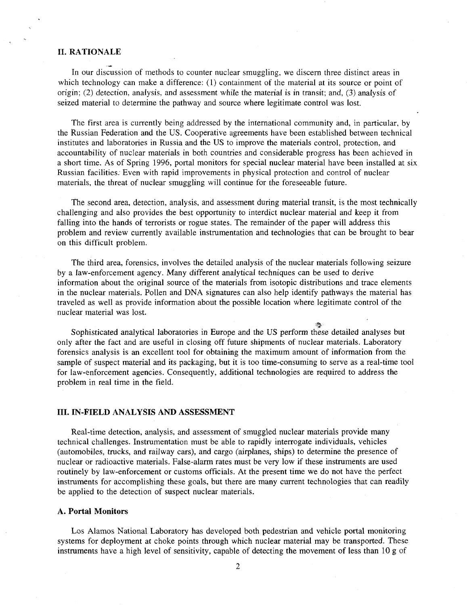# **II. RATIONALE**

In our discussion of methods to counter nuclear smuggling, we discern three distinct areas in which technology can make a difference: (1) containment of the material at its source or point of origin; (2) detection, analysis, and assessment while the material is in transit; and, (3) analysis of seized material to determine the pathway and source where legitimate control was lost.

The first area is currently being addressed by the international community and, in particular, by the Russian Federation and the US. Cooperative agreements have been established between technical institutes and laboratories in Russia and the US to improve the materials control, protection, and accountability of nuclear materials in both countries and considerable progress has been achieved in a short time. As of Spring 1996, portal monitors for special nuclear material have been installed at six Russian facilities. Even with rapid improvements in physical protection and control of nuclear materials, the threat of nuclear smuggling will continue for the foreseeable future.

The second area, detection, analysis, and assessment during material transit, is the most technically challenging and also provides the best opportunity to interdict nuclear material and keep it from falling into the hands of terrorists or rogue states. The remainder of the paper will address this problem and review currently available instrumentation and technologies that can be brought to bear on this difficult problem.

The third area, forensics, involves the detailed analysis of the nuclear materials following seizure by a law-enforcement agency. Many different analytical techniques can be used to derive information about the original source of the materials from isotopic distributions and trace elements in the nuclear materials. Pollen and DNA signatures can also help identify pathways the material has traveled as well as provide information about the possible location where legitimate control of the nuclear material was lost.

Sophisticated analytical laboratories in Europe and the US perform these detailed analyses but only after the fact and are useful in closing off future shipments of nuclear materials. Laboratory forensics analysis is an excellent tool for obtaining the maximum amount of information from the sample of suspect material and its packaging, but it is too time-consuming to serve as a real-time tool for law-enforcement agencies. Consequently, additional technologies are required to address the problem in real time in the field.

 $\mathcal{L}_{\mathcal{L}}$   $\mathcal{L}_{\mathcal{L}}$ 

#### **III. IN-FIELD ANALYSIS AND ASSESSMENT**

Real-time detection, analysis, and assessment of smuggled nuclear materials provide many technical challenges. Instrumentation must be able to rapidly interrogate individuals, vehicles (automobiles, trucks, and railway cars), and cargo (airplanes, ships) to determine the presence of nuclear or radioactive materials. False-alarm rates must be very low if these instruments are used routinely by law-enforcement or customs officials. At the present time we do not have the perfect instruments for accomplishing these goals, but there are many current technologies that can readily be applied to the detection of suspect nuclear materials.

## A. **Portal Monitors**

Los Alamos National Laboratory has developed both pedestrian and vehicle portal monitoring systems for deployment at choke points through which nuclear material may be transported. These instruments have a high level of sensitivity, capable of detecting the movement of less than 10 g of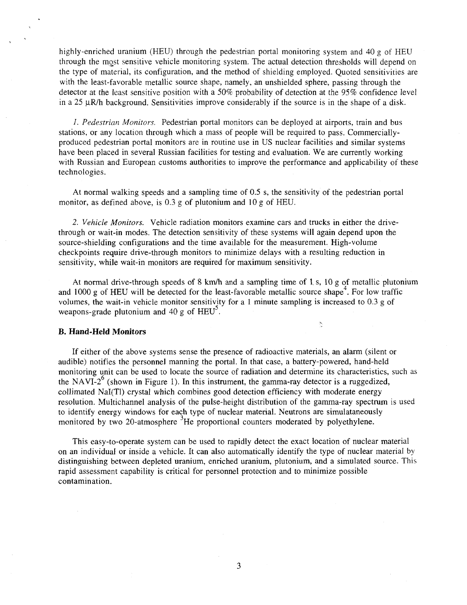highly-enriched uranium (HEU) through the pedestrian portal monitoring system and 40 g of HEU through the most sensitive vehicle monitoring system. The actual detection thresholds will depend on the type of material, its configuration, and the method of shielding employed. Quoted sensitivities are with the least-favorable metallic source shape, namely, an unshielded sphere, passing through the detector at the least sensitive position with a 50% probability of detection at the 95% confidence level in a 25  $\mu$ R/h background. Sensitivities improve considerably if the source is in the shape of a disk.

*1. Pedestrian Monitors.* Pedestrian portal monitors can be deployed at airports, train and bus stations, or any location through which a mass of people will be required to pass. Commerciallyproduced pedestrian portal monitors are in routine use in US nuclear facilities and similar systems have been placed in several Russian facilities for testing and evaluation. We are currently working with Russian and European customs authorities to improve the performance and applicability of these technologies.

At normal walking speeds and a sampling time of 0.5 s, the sensitivity of the pedestrian portal monitor, as defined above, is 0.3 g of plutonium and 10 g of HEU.

*2. Vehicle Monitors.* Vehicle radiation monitors examine cars and trucks in either the drivethrough or wait-in modes. The detection sensitivity of these systems will again depend upon the source-shielding configurations and the time available for the measurement. High-volume checkpoints require drive-through monitors to minimize delays with a resulting reduction in sensitivity, while wait-in monitors are required for maximum sensitivity.

At normal drive-through speeds of 8 km/h and a sampling time of 1. s, 10 g of metallic plutonium and 1000 g of HEU will be detected for the least-favorable metallic source shape<sup>4</sup>. For low traffic volumes, the wait-in vehicle monitor sensitivity for a 1 minute sampling is increased to 0.3 g of weapons-grade plutonium and  $40 \text{ g}$  of  $\text{HEU}^3$ .

 $\frac{\partial \mathbf{p}}{\partial \mathbf{r}}$ 

## **B. Hand-Held Monitors**

If either of the above systems sense the presence of radioactive materials, an alarm (silent or audible) notifies the personnel manning the portal. In that case, a battery-powered, hand-held monitoring unit can be used to locate the source of radiation and determine its characteristics, such as the NAVI-2 $^{\circ}$  (shown in Figure 1). In this instrument, the gamma-ray detector is a ruggedized, collimated Nal(Tl) crystal which combines good detection efficiency with moderate energy resolution. Multichannel analysis of the pulse-height distribution of the gamma-ray spectrum is used to identify energy windows for each type of nuclear material. Neutrons are simulataneously monitored by two 20-atmosphere <sup>3</sup>He proportional counters moderated by polyethylene.

This easy-to-operate system can be used to rapidly detect the exact location of nuclear material on an individual or inside a vehicle. It can also automatically identify the type of nuclear material by distinguishing between depleted uranium, enriched uranium, plutonium, and a simulated source. This rapid assessment capability is critical for personnel protection and to minimize possible contamination.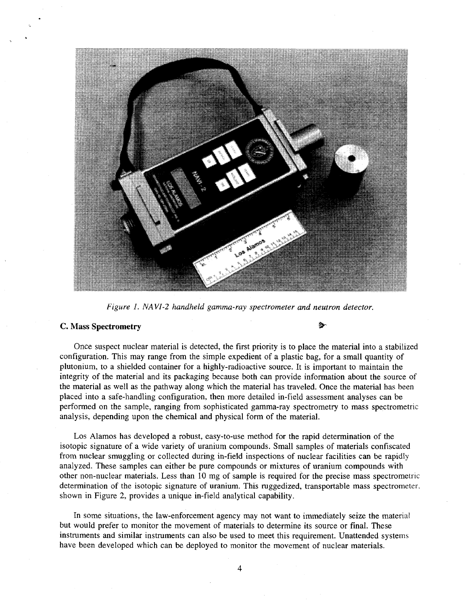

*Figure 1. NAVI-2 handheld gamma-ray spectrometer and neutron detector.* 

## C. Mass **Spectrometry** *'&-*

Once suspect nuclear material is detected, the first priority is to place the material into a stabilized configuration. This may range from the simple expedient of a plastic bag, for a small quantity of plutonium, to a shielded container for a highly-radioactive source. It is important to maintain the integrity of the material and its packaging because both can provide information about the source of the material as well as the pathway along which the material has traveled. Once the material has been placed into a safe-handling configuration, then more detailed in-field assessment analyses can be performed on the sample, ranging from sophisticated gamma-ray spectrometry to mass spectrometric analysis, depending upon the chemical and physical form of the material.

Los Alamos has developed a robust, easy-to-use method for the rapid determination of the isotopic signature of a wide variety of uranium compounds. Small samples of materials confiscated from nuclear smuggling or collected during in-field inspections of nuclear facilities can be rapidly analyzed. These samples can either be pure compounds or mixtures of uranium compounds with other non-nuclear materials. Less than 10 mg of sample is required for the precise mass spectrometric determination of the isotopic signature of uranium. This ruggedized, transportable mass spectrometer, shown in Figure 2, provides a unique in-field analytical capability.

In some situations, the law-enforcement agency may not want to immediately seize the material but would prefer to monitor the movement of materials to determine its source or final. These instruments and similar instruments can also be used to meet this requirement. Unattended systems have been developed which can be deployed to monitor the movement of nuclear materials.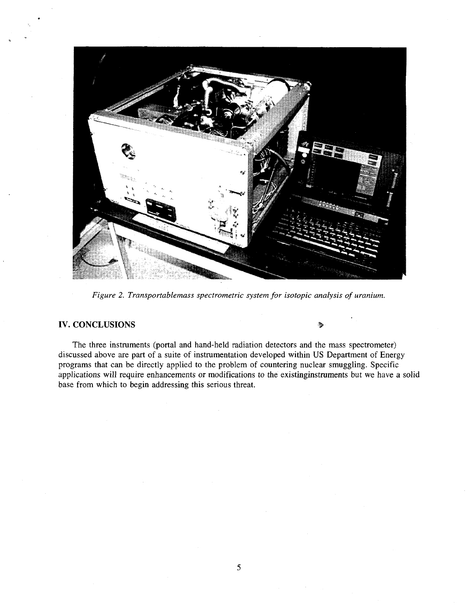

*Figure 2. Transportablemass spectrometric system for isotopic analysis of uranium.* 

# IV. CONCLUSIONS

The three instruments (portal and hand-held radiation detectors and the mass spectrometer) discussed above are part of a suite of instrumentation developed within US Department of Energy programs that can be directly applied to the problem of countering nuclear smuggling. Specific applications will require enhancements or modifications to the existinginstruments but we have a solid base from which to begin addressing this serious threat.